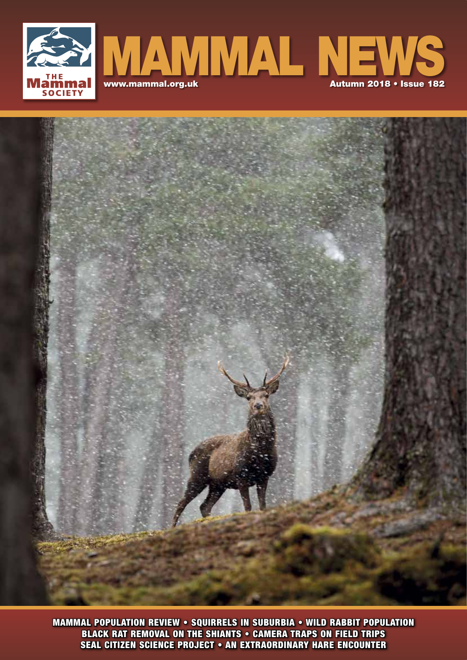



**Mammal SEAL CITIZEN SCIENCE PROJECT • AN EXTRAORDINARY HARE ENCOUNTER** MAMMAL POPULATION REVIEW • SQUIRRELS IN SUBURBIA • WILD RABBIT POPULATION BLACK RAT REMOVAL ON THE SHIANTS • CAMERA TRAPS ON FIELD TRIPS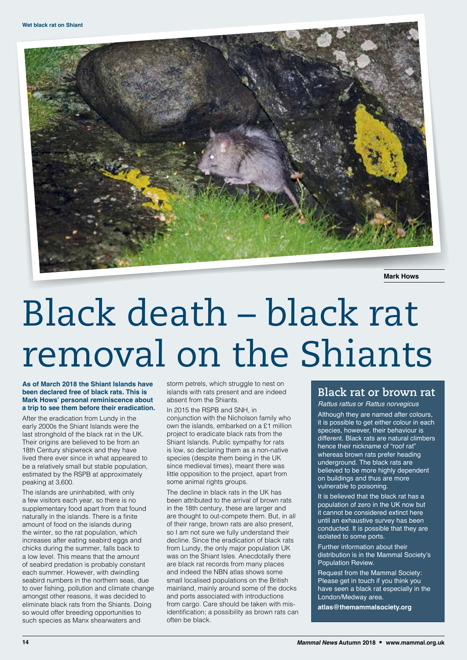

**Mark Hows**

## Black death – black rat removal on the Shiants

## **As of March 2018 the Shiant Islands have been declared free of black rats. This is Mark Hows' personal reminiscence about a trip to see them before their eradication.**

After the eradication from Lundy in the early 2000s the Shiant Islands were the last stronghold of the black rat in the UK. Their origins are believed to be from an 18th Century shipwreck and they have lived there ever since in what appeared to be a relatively small but stable population, estimated by the RSPB at approximately peaking at 3,600.

The islands are uninhabited, with only a few visitors each year, so there is no supplementary food apart from that found naturally in the islands. There is a finite amount of food on the islands during the winter, so the rat population, which increases after eating seabird eggs and chicks during the summer, falls back to a low level. This means that the amount of seabird predation is probably constant each summer. However, with dwindling seabird numbers in the northern seas, due to over fishing, pollution and climate change amongst other reasons, it was decided to eliminate black rats from the Shiants. Doing so would offer breeding opportunities to such species as Manx shearwaters and

storm petrels, which struggle to nest on islands with rats present and are indeed absent from the Shiants.

In 2015 the RSPB and SNH, in conjunction with the Nicholson family who own the islands, embarked on a £1 million project to eradicate black rats from the Shiant Islands. Public sympathy for rats is low, so declaring them as a non-native species (despite them being in the UK since medieval times), meant there was little opposition to the project, apart from some animal rights groups.

The decline in black rats in the UK has been attributed to the arrival of brown rats in the 18th century, these are larger and are thought to out-compete them. But, in all of their range, brown rats are also present, so I am not sure we fully understand their decline. Since the eradication of black rats from Lundy, the only major population UK was on the Shiant Isles. Anecdotally there are black rat records from many places and indeed the NBN atlas shows some small localised populations on the British mainland, mainly around some of the docks and ports associated with introductions from cargo. Care should be taken with misidentification; a possibility as brown rats can often be black.

## **Black rat or brown rat**

Rattus rattus or Rattus norvegicus

Although they are named after colours, it is possible to get either colour in each species, however, their behaviour is different. Black rats are natural climbers hence their nickname of "roof rat" whereas brown rats prefer heading underground. The black rats are believed to be more highly dependent on buildings and thus are more vulnerable to poisoning.

It is believed that the black rat has a population of zero in the UK now but it cannot be considered extinct here until an exhaustive survey has been conducted. It is possible that they are isolated to some ports.

Further information about their distribution is in the Mammal Society's Population Review.

Request from the Mammal Society: Please get in touch if you think you have seen a black rat especially in the London/Medway area.

**atlas@themammalsociety.org**